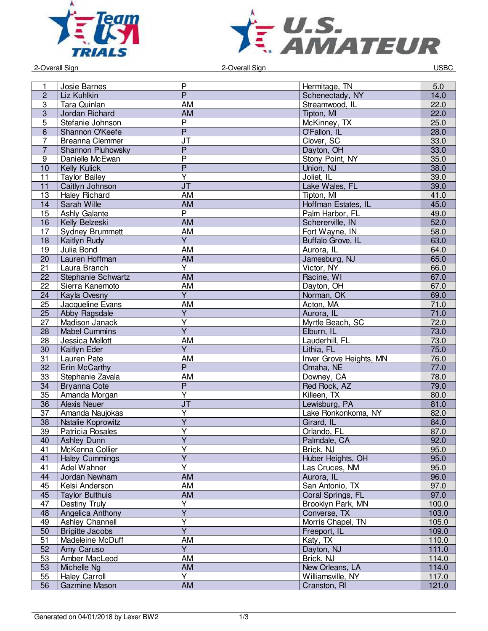



2-Overall Sign 2-Overall Sign USBC

| 1              | Josie Barnes           | $\mathsf{P}$                      | Hermitage, TN                     | 5.0   |
|----------------|------------------------|-----------------------------------|-----------------------------------|-------|
| $\overline{c}$ | Liz Kuhlkin            | $\overline{P}$                    |                                   | 14.0  |
| $\overline{3}$ | Tara Quinlan           | AM                                | Schenectady, NY<br>Streamwood, IL |       |
|                |                        |                                   |                                   | 22.0  |
| 3              | Jordan Richard         | AM                                | Tipton, MI                        | 22.0  |
| $\overline{5}$ | Stefanie Johnson       | $\overline{\mathsf{P}}$           | McKinney, TX                      | 25.0  |
| 6              | Shannon O'Keefe        | $\overline{P}$                    | O'Fallon, IL                      | 28.0  |
| $\overline{7}$ | <b>Breanna Clemmer</b> | $\overline{\mathsf{J}\mathsf{T}}$ | Clover, SC                        | 33.0  |
| $\overline{7}$ | Shannon Pluhowsky      | $\overline{P}$                    | Dayton, OH                        | 33.0  |
| 9              | Danielle McEwan        | $\overline{\mathsf{P}}$           | Stony Point, NY                   | 35.0  |
| 10             | <b>Kelly Kulick</b>    | $\overline{P}$                    | Union, NJ                         | 38.0  |
| 11             | <b>Taylor Bailey</b>   | $\overline{\mathsf{Y}}$           | Joliet, IL                        | 39.0  |
| 11             | Caitlyn Johnson        | J <sub>T</sub>                    | Lake Wales, FL                    | 39.0  |
| 13             | <b>Haley Richard</b>   | AM                                | Tipton, MI                        | 41.0  |
| 14             | Sarah Wille            | AM                                | Hoffman Estates, IL               | 45.0  |
| 15             | Ashly Galante          | $\overline{P}$                    | Palm Harbor, FL                   | 49.0  |
| 16             | Kelly Belzeski         | <b>AM</b>                         | Schererville, IN                  | 52.0  |
| 17             | <b>Sydney Brummett</b> | <b>AM</b>                         | Fort Wayne, IN                    | 58.0  |
| 18             | Kaitlyn Rudy           | $\overline{Y}$                    | Buffalo Grove, IL                 | 63.0  |
| 19             | Julia Bond             | <b>AM</b>                         | Aurora, IL                        | 64.0  |
| 20             | Lauren Hoffman         | <b>AM</b>                         | Jamesburg, NJ                     | 65.0  |
| 21             | Laura Branch           | $\overline{\mathsf{Y}}$           | Victor, NY                        | 66.0  |
| 22             | Stephanie Schwartz     | AM                                | Racine, WI                        | 67.0  |
| 22             | Sierra Kanemoto        | AM                                | Davton, OH                        | 67.0  |
| 24             | Kayla Ovesny           | $\overline{\mathsf{Y}}$           | Norman, OK                        | 69.0  |
| 25             | Jacqueline Evans       | <b>AM</b>                         | Acton, MA                         | 71.0  |
| 25             | Abby Ragsdale          | $\overline{\mathsf{Y}}$           | Aurora, IL                        | 71.0  |
| 27             | Madison Janack         | $\overline{\mathsf{Y}}$           | Myrtle Beach, SC                  | 72.0  |
| 28             | <b>Mabel Cummins</b>   | $\overline{Y}$                    | Elburn, IL                        | 73.0  |
| 28             |                        | <b>AM</b>                         | Lauderhill, FL                    | 73.0  |
|                | Jessica Mellott        | $\overline{Y}$                    |                                   |       |
| 30             | Kaitlyn Eder           |                                   | Lithia, FL                        | 75.0  |
| 31             | Lauren Pate            | <b>AM</b>                         | <b>Inver Grove Heights, MN</b>    | 76.0  |
| 32             | Erin McCarthy          | $\overline{\mathsf{P}}$           | Omaha, NE                         | 77.0  |
| 33             | Stephanie Zavala       | AM                                | Downey, CA                        | 78.0  |
| 34             | Bryanna Cote           | $\overline{P}$                    | Red Rock, AZ                      | 79.0  |
| 35             | Amanda Morgan          | $\overline{\mathsf{Y}}$           | Killeen. TX                       | 80.0  |
| 36             | <b>Alexis Neuer</b>    | J <sub>T</sub>                    | Lewisburg, PA                     | 81.0  |
| 37             | Amanda Naujokas        | Y                                 | Lake Ronkonkoma, NY               | 82.0  |
| 38             | Natalie Koprowitz      | $\overline{Y}$                    | Girard, IL                        | 84.0  |
| 39             | Patricia Rosales       | $\overline{\mathsf{Y}}$           | Orlando, FL                       | 87.0  |
| 40             | <b>Ashley Dunn</b>     | Y                                 | Palmdale, CA                      | 92.0  |
| 41             | McKenna Collier        | $\overline{\mathsf{Y}}$           | Brick, NJ                         | 95.0  |
| 41             | <b>Haley Cummings</b>  | $\overline{\mathsf{Y}}$           | Huber Heights, OH                 | 95.0  |
| 41             | Adel Wahner            | $\overline{Y}$                    | Las Cruces, NM                    | 95.0  |
| 44             | Jordan Newham          | <b>AM</b>                         | Aurora, IL                        | 96.0  |
| 45             | Kelsi Anderson         | AM                                | San Antonio, TX                   | 97.0  |
| 45             | <b>Taylor Bulthuis</b> | <b>AM</b>                         | Coral Springs, FL                 | 97.0  |
| 47             | Destiny Truly          | $\overline{\mathsf{Y}}$           | Brooklyn Park, MN                 | 100.0 |
| 48             | Angelica Anthony       | $\overline{\mathsf{Y}}$           | Converse, TX                      | 103.0 |
| 49             | Ashley Channell        | $\overline{\mathsf{Y}}$           | Morris Chapel, TN                 | 105.0 |
| 50             | <b>Brigitte Jacobs</b> | $\overline{Y}$                    | Freeport, IL                      | 109.0 |
| 51             | Madeleine McDuff       | AM                                | Katy, TX                          | 110.0 |
| 52             | Amy Caruso             | $\overline{Y}$                    | Dayton, NJ                        | 111.0 |
| 53             | Amber MacLeod          | AM                                | Brick, NJ                         | 114.0 |
| 53             | Michelle Ng            | AM                                | New Orleans, LA                   | 114.0 |
| 55             | <b>Haley Carroll</b>   | $\overline{Y}$                    | Williamsville, NY                 | 117.0 |
| 56             |                        | <b>AM</b>                         |                                   |       |
|                | Gazmine Mason          |                                   | Cranston, RI                      | 121.0 |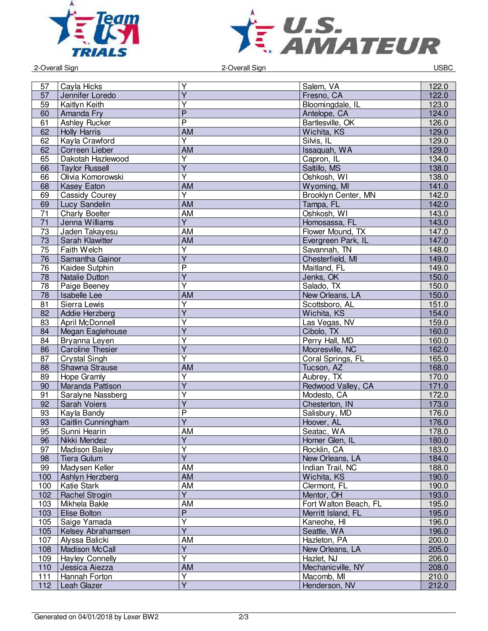



2-Overall Sign 2-Overall Sign USBC

| 57              | Cayla Hicks             | Υ                       | Salem, VA             | 122.0 |
|-----------------|-------------------------|-------------------------|-----------------------|-------|
| 57              | Jennifer Loredo         | $\overline{\mathsf{Y}}$ | Fresno, CA            | 122.0 |
| 59              | Kaitlyn Keith           | $\overline{\mathsf{Y}}$ | Bloomingdale, IL      | 123.0 |
| 60              | Amanda Fry              | $\overline{P}$          | Antelope, CA          | 124.0 |
| 61              | <b>Ashley Rucker</b>    | $\overline{\mathsf{P}}$ | Bartlesville, OK      | 126.0 |
| 62              | <b>Holly Harris</b>     | <b>AM</b>               | Wichita, KS           | 129.0 |
| 62              | Kayla Crawford          | $\overline{Y}$          | Silvis, IL            | 129.0 |
| 62              | Correen Lieber          | $\overline{AM}$         | Issaquah, WA          | 129.0 |
| 65              | Dakotah Hazlewood       | $\overline{\mathsf{Y}}$ | Capron, IL            | 134.0 |
| 66              | <b>Taylor Russell</b>   | $\overline{\mathsf{Y}}$ | Saltillo, MS          | 138.0 |
| 66              | Olivia Komorowski       | $\overline{\mathsf{Y}}$ | Oshkosh, WI           | 138.0 |
| 68              | <b>Kasey Eaton</b>      | AM                      | Wyoming, MI           | 141.0 |
| 69              | Cassidy Courey          | $\overline{\mathsf{Y}}$ | Brooklyn Center, MN   | 142.0 |
| 69              | Lucy Sandelin           | <b>AM</b>               | Tampa, FL             | 142.0 |
| $\overline{71}$ | <b>Charly Boelter</b>   | <b>AM</b>               | Oshkosh, WI           | 143.0 |
| 71              | Jenna Williams          | $\overline{Y}$          | Homosassa, FL         | 143.0 |
| 73              | Jaden Takayesu          | AM                      | Flower Mound, TX      | 147.0 |
| 73              | Sarah Klawitter         | <b>AM</b>               | Evergreen Park, IL    | 147.0 |
| 75              | Faith Welch             | $\overline{\mathsf{Y}}$ | Savannah, TN          | 148.0 |
| 76              | Samantha Gainor         | $\overline{Y}$          | Chesterfield, MI      | 149.0 |
| 76              | Kaidee Sutphin          | P                       | Maitland, FL          | 149.0 |
| 78              | <b>Natalie Dutton</b>   | Ÿ                       | Jenks, OK             | 150.0 |
| 78              | Paige Beeney            | $\overline{\mathsf{Y}}$ | Salado, TX            | 150.0 |
| 78              | Isabelle Lee            | <b>AM</b>               | New Orleans, LA       | 150.0 |
| 81              | Sierra Lewis            | $\overline{\mathsf{Y}}$ | Scottsboro, AL        | 151.0 |
| 82              |                         | $\overline{\mathsf{Y}}$ | Wichita, KS           | 154.0 |
|                 | Addie Herzberg          | Y                       |                       |       |
| 83              | April McDonnell         | $\overline{Y}$          | Las Vegas, NV         | 159.0 |
| 84              | Megan Eaglehouse        |                         | Cibolo, TX            | 160.0 |
| 84              | Bryanna Leyen           | $\overline{\mathsf{Y}}$ | Perry Hall, MD        | 160.0 |
| 86              | <b>Caroline Thesier</b> | $\overline{\mathsf{Y}}$ | Mooresville, NC       | 162.0 |
| 87              | <b>Crystal Singh</b>    | $\overline{\mathsf{Y}}$ | Coral Springs, FL     | 165.0 |
| 88              | Shawna Strause          | AM                      | Tucson, AZ            | 168.0 |
| 89              | Hope Gramly             | Υ                       | Aubrey, TX            | 170.0 |
| 90              | Maranda Pattison        | $\overline{Y}$          | Redwood Valley, CA    | 171.0 |
| 91              | Saralyne Nassberg       | Y                       | Modesto, CA           | 172.0 |
| 92              | <b>Sarah Voiers</b>     | $\overline{Y}$          | Chesterton, IN        | 173.0 |
| 93              | Kayla Bandy             | $\overline{P}$          | Salisbury, MD         | 176.0 |
| 93              | Caitlin Cunningham      | $\overline{Y}$          | Hoover, AL            | 176.0 |
| 95              | Sunni Hearin            | AM                      | Seatac, WA            | 178.0 |
| 96              | Nikki Mendez            | Y                       | Homer Glen, IL        | 180.0 |
| 97              | <b>Madison Bailey</b>   | $\overline{\mathsf{Y}}$ | Rocklin, CA           | 183.0 |
| 98              | <b>Tiera Gulum</b>      | $\overline{\mathsf{Y}}$ | New Orleans, LA       | 184.0 |
| 99              | Madysen Keller          | AM                      | Indian Trail, NC      | 188.0 |
| 100             | Ashlyn Herzberg         | AM                      | Wichita, KS           | 190.0 |
| 100             | Katie Stark             | AM                      | Clermont, FL          | 190.0 |
| 102             | Rachel Strogin          | $\overline{Y}$          | Mentor, OH            | 193.0 |
| 103             | Mikhela Bakle           | AM                      | Fort Walton Beach, FL | 195.0 |
| 103             | Elise Bolton            | $\overline{P}$          | Merritt Island, FL    | 195.0 |
| 105             | Saige Yamada            | $\overline{\mathsf{Y}}$ | Kaneohe, HI           | 196.0 |
| 105             | Kelsey Abrahamsen       | $\overline{Y}$          | Seattle, WA           | 196.0 |
| 107             | Alyssa Balicki          | AM                      | Hazleton, PA          | 200.0 |
| 108             | <b>Madison McCall</b>   | $\overline{Y}$          | New Orleans, LA       | 205.0 |
| 109             | <b>Hayley Connelly</b>  | $\overline{\mathsf{Y}}$ | Hazlet, NJ            | 206.0 |
| 110             | Jessica Aiezza          | AM                      | Mechanicville, NY     | 208.0 |
| 111             | Hannah Forton           | $\overline{Y}$          | Macomb, MI            | 210.0 |
| 112             | Leah Glazer             | $\overline{\mathsf{Y}}$ | Henderson, NV         | 212.0 |
|                 |                         |                         |                       |       |